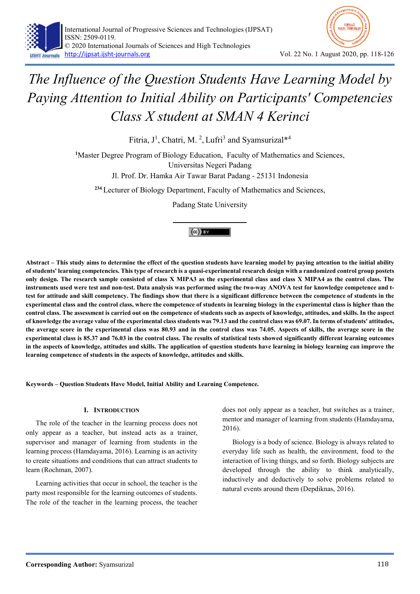



Fitria,  $J^1$ , Chatri, M.<sup>2</sup>, Lufri<sup>3</sup> and Syamsurizal\*<sup>4</sup>

<sup>1</sup>Master Degree Program of Biology Education, Faculty of Mathematics and Sciences, Universitas Negeri Padang

Jl. Prof. Dr. Hamka Air Tawar Barat Padang - 25131 Indonesia

<sup>234</sup> Lecturer of Biology Department, Faculty of Mathematics and Sciences,

Padang State University

## $(cc)$  BY

Abstract – This study aims to determine the effect of the question students have learning model by paying attention to the initial ability of students' learning competencies. This type of research is a quasi-experimental research design with a randomized control group postets only design. The research sample consisted of class X MIPA3 as the experimental class and class X MIPA4 as the control class. The instruments used were test and non-test. Data analysis was performed using the two-way ANOVA test for knowledge competence and ttest for attitude and skill competency. The findings show that there is a significant difference between the competence of students in the experimental class and the control class, where the competence of students in learning biology in the experimental class is higher than the control class. The assessment is carried out on the competence of students such as aspects of knowledge, attitudes, and skills. In the aspect of knowledge the average value of the experimental class students was 79.13 and the control class was 69.07. In terms of students' attitudes, the average score in the experimental class was 80.93 and in the control class was 74.05. Aspects of skills, the average score in the experimental class is 85.37 and 76.03 in the control class. The results of statistical tests showed significantly different learning outcomes in the aspects of knowledge, attitudes and skills. The application of question students have learning in biology learning can improve the learning competence of students in the aspects of knowledge, attitudes and skills.

Keywords – Question Students Have Model, Initial Ability and Learning Competence.

## I. INTRODUCTION

The role of the teacher in the learning process does not only appear as a teacher, but instead acts as a trainer, supervisor and manager of learning from students in the learning process (Hamdayama, 2016). Learning is an activity to create situations and conditions that can attract students to learn (Rochman, 2007).

Learning activities that occur in school, the teacher is the party most responsible for the learning outcomes of students. The role of the teacher in the learning process, the teacher does not only appear as a teacher, but switches as a trainer, mentor and manager of learning from students (Hamdayama, 2016).

Biology is a body of science. Biology is always related to everyday life such as health, the environment, food to the interaction of living things, and so forth. Biology subjects are developed through the ability to think analytically, inductively and deductively to solve problems related to natural events around them (Depdiknas, 2016).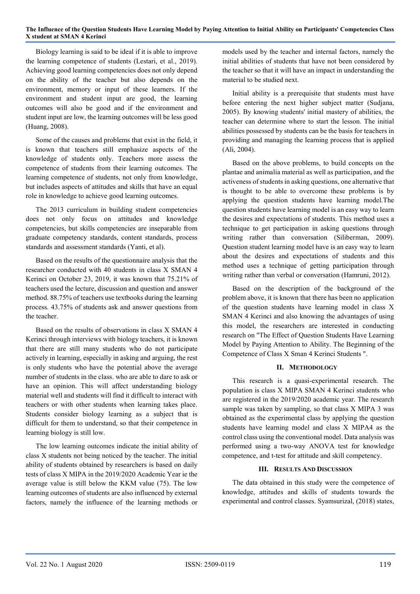Biology learning is said to be ideal if it is able to improve the learning competence of students (Lestari, et al., 2019). Achieving good learning competencies does not only depend on the ability of the teacher but also depends on the environment, memory or input of these learners. If the environment and student input are good, the learning outcomes will also be good and if the environment and student input are low, the learning outcomes will be less good (Huang, 2008).

Some of the causes and problems that exist in the field, it is known that teachers still emphasize aspects of the knowledge of students only. Teachers more assess the competence of students from their learning outcomes. The learning competence of students, not only from knowledge, but includes aspects of attitudes and skills that have an equal role in knowledge to achieve good learning outcomes.

The 2013 curriculum in building student competencies does not only focus on attitudes and knowledge competencies, but skills competencies are inseparable from graduate competency standards, content standards, process standards and assessment standards (Yanti, et al).

Based on the results of the questionnaire analysis that the researcher conducted with 40 students in class X SMAN 4 Kerinci on October 23, 2019, it was known that 75.21% of teachers used the lecture, discussion and question and answer method. 88.75% of teachers use textbooks during the learning process. 43.75% of students ask and answer questions from the teacher.

Based on the results of observations in class X SMAN 4 Kerinci through interviews with biology teachers, it is known that there are still many students who do not participate actively in learning, especially in asking and arguing, the rest is only students who have the potential above the average number of students in the class. who are able to dare to ask or have an opinion. This will affect understanding biology material well and students will find it difficult to interact with teachers or with other students when learning takes place. Students consider biology learning as a subject that is difficult for them to understand, so that their competence in learning biology is still low.

The low learning outcomes indicate the initial ability of class X students not being noticed by the teacher. The initial ability of students obtained by researchers is based on daily tests of class X MIPA in the 2019/2020 Academic Year ie the average value is still below the KKM value (75). The low learning outcomes of students are also influenced by external factors, namely the influence of the learning methods or

models used by the teacher and internal factors, namely the initial abilities of students that have not been considered by the teacher so that it will have an impact in understanding the material to be studied next.

Initial ability is a prerequisite that students must have before entering the next higher subject matter (Sudjana, 2005). By knowing students' initial mastery of abilities, the teacher can determine where to start the lesson. The initial abilities possessed by students can be the basis for teachers in providing and managing the learning process that is applied (Ali, 2004).

Based on the above problems, to build concepts on the plantae and animalia material as well as participation, and the activeness of students in asking questions, one alternative that is thought to be able to overcome these problems is by applying the question students have learning model.The question students have learning model is an easy way to learn the desires and expectations of students. This method uses a technique to get participation in asking questions through writing rather than conversation (Siliberman, 2009). Question student learning model have is an easy way to learn about the desires and expectations of students and this method uses a technique of getting participation through writing rather than verbal or conversation (Hamruni, 2012).

Based on the description of the background of the problem above, it is known that there has been no application of the question students have learning model in class X SMAN 4 Kerinci and also knowing the advantages of using this model, the researchers are interested in conducting research on "The Effect of Question Students Have Learning Model by Paying Attention to Ability. The Beginning of the Competence of Class X Sman 4 Kerinci Students ".

## II. METHODOLOGY

This research is a quasi-experimental research. The population is class X MIPA SMAN 4 Kerinci students who are registered in the 2019/2020 academic year. The research sample was taken by sampling, so that class X MIPA 3 was obtained as the experimental class by applying the question students have learning model and class X MIPA4 as the control class using the conventional model. Data analysis was performed using a two-way ANOVA test for knowledge competence, and t-test for attitude and skill competency.

## III. RESULTS AND DISCUSSION

The data obtained in this study were the competence of knowledge, attitudes and skills of students towards the experimental and control classes. Syamsurizal, (2018) states,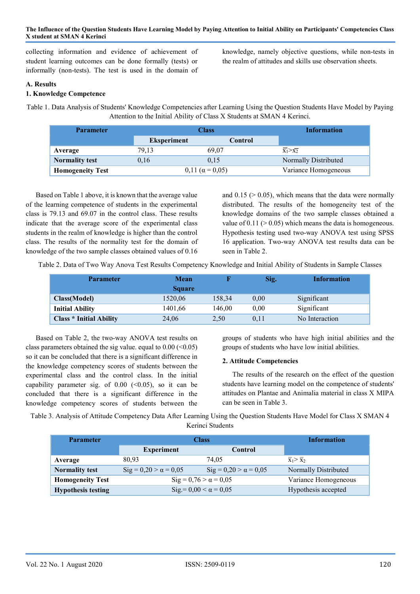collecting information and evidence of achievement of student learning outcomes can be done formally (tests) or informally (non-tests). The test is used in the domain of knowledge, namely objective questions, while non-tests in the realm of attitudes and skills use observation sheets.

## A. Results

## 1. Knowledge Competence

Table 1. Data Analysis of Students' Knowledge Competencies after Learning Using the Question Students Have Model by Paying Attention to the Initial Ability of Class X Students at SMAN 4 Kerinci.

| <b>Parameter</b>        | <b>Class</b>       |                            | Information                       |
|-------------------------|--------------------|----------------------------|-----------------------------------|
|                         | <b>Eksperiment</b> | Control                    |                                   |
| Average                 | 79.13              | 69.07                      | $\overline{X_1} > \overline{X_2}$ |
| <b>Normality test</b>   | 0,16               | 0.15                       | Normally Distributed              |
| <b>Homogeneity Test</b> |                    | $0,11$ ( $\alpha = 0,05$ ) | Variance Homogeneous              |

Based on Table 1 above, it is known that the average value of the learning competence of students in the experimental class is 79.13 and 69.07 in the control class. These results indicate that the average score of the experimental class students in the realm of knowledge is higher than the control class. The results of the normality test for the domain of knowledge of the two sample classes obtained values of 0.16

and  $0.15$  ( $> 0.05$ ), which means that the data were normally distributed. The results of the homogeneity test of the knowledge domains of the two sample classes obtained a value of  $0.11$  ( $> 0.05$ ) which means the data is homogeneous. Hypothesis testing used two-way ANOVA test using SPSS 16 application. Two-way ANOVA test results data can be seen in Table 2.

Table 2. Data of Two Way Anova Test Results Competency Knowledge and Initial Ability of Students in Sample Classes

| <b>Parameter</b>               | Mean          |        | Sig. | Information    |
|--------------------------------|---------------|--------|------|----------------|
|                                | <b>Square</b> |        |      |                |
| <b>Class</b> (Model)           | 1520,06       | 158.34 | 0,00 | Significant    |
| <b>Initial Ability</b>         | 1401,66       | 146.00 | 0.00 | Significant    |
| <b>Class * Initial Ability</b> | 24,06         | 2,50   | 0,11 | No Interaction |

Based on Table 2, the two-way ANOVA test results on class parameters obtained the sig value. equal to  $0.00 \, \textdegree \times \textdegree \, 0.05$ ) so it can be concluded that there is a significant difference in the knowledge competency scores of students between the experimental class and the control class. In the initial capability parameter sig. of  $0.00$  (<0.05), so it can be concluded that there is a significant difference in the knowledge competency scores of students between the

groups of students who have high initial abilities and the groups of students who have low initial abilities.

## 2. Attitude Competencies

The results of the research on the effect of the question students have learning model on the competence of students' attitudes on Plantae and Animalia material in class X MIPA can be seen in Table 3.

Table 3. Analysis of Attitude Competency Data After Learning Using the Question Students Have Model for Class X SMAN 4 Kerinci Students

| <b>Parameter</b>          | <b>Class</b>                        | <b>Information</b>                  |                                   |
|---------------------------|-------------------------------------|-------------------------------------|-----------------------------------|
|                           | <b>Experiment</b>                   | Control                             |                                   |
| Average                   | 80.93                               | 74.05                               | $\overline{x}_1 > \overline{x}_2$ |
| <b>Normality test</b>     | $\text{Sig} = 0,20 > \alpha = 0,05$ | $\text{Sig} = 0,20 > \alpha = 0,05$ | Normally Distributed              |
| <b>Homogeneity Test</b>   | $\text{Sig} = 0.76 > \alpha = 0.05$ |                                     | Variance Homogeneous              |
| <b>Hypothesis testing</b> | $\text{Sig} = 0.00 < \alpha = 0.05$ |                                     | Hypothesis accepted               |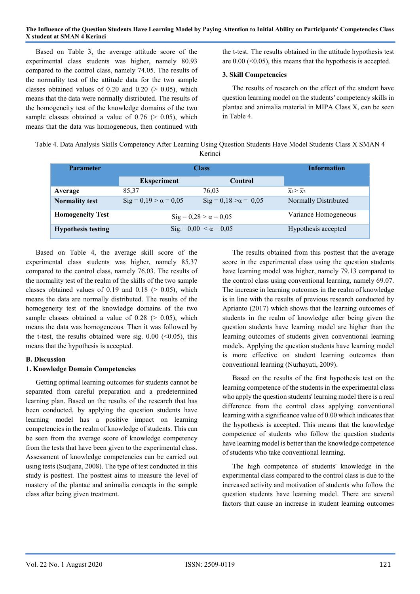Based on Table 3, the average attitude score of the experimental class students was higher, namely 80.93 compared to the control class, namely 74.05. The results of the normality test of the attitude data for the two sample classes obtained values of  $0.20$  and  $0.20$  ( $> 0.05$ ), which means that the data were normally distributed. The results of the homogeneity test of the knowledge domains of the two sample classes obtained a value of  $0.76$  ( $> 0.05$ ), which means that the data was homogeneous, then continued with

the t-test. The results obtained in the attitude hypothesis test are  $0.00$  ( $0.05$ ), this means that the hypothesis is accepted.

#### 3. Skill Competencies

The results of research on the effect of the student have question learning model on the students' competency skills in plantae and animalia material in MIPA Class X, can be seen in Table 4.

| Table 4. Data Analysis Skills Competency After Learning Using Question Students Have Model Students Class X SMAN 4 |  |
|--------------------------------------------------------------------------------------------------------------------|--|
| Kerinci                                                                                                            |  |

| <b>Parameter</b>          | <b>Class</b>                        |                                       | <b>Information</b>                |
|---------------------------|-------------------------------------|---------------------------------------|-----------------------------------|
|                           | <b>Eksperiment</b>                  | Control                               |                                   |
| Average                   | 85.37                               | 76.03                                 | $\overline{X}_1 > \overline{X}_2$ |
| <b>Normality test</b>     | $\text{Sig} = 0.19 > \alpha = 0.05$ | $\text{Sig} = 0.18 > \alpha = 0.05$   | Normally Distributed              |
| <b>Homogeneity Test</b>   | $\text{Sig} = 0.28 > \alpha = 0.05$ |                                       | Variance Homogeneous              |
| <b>Hypothesis testing</b> |                                     | $\text{Sig} = 0.00 \le \alpha = 0.05$ | Hypothesis accepted               |

Based on Table 4, the average skill score of the experimental class students was higher, namely 85.37 compared to the control class, namely 76.03. The results of the normality test of the realm of the skills of the two sample classes obtained values of 0.19 and 0.18 ( $> 0.05$ ), which means the data are normally distributed. The results of the homogeneity test of the knowledge domains of the two sample classes obtained a value of  $0.28$  ( $> 0.05$ ), which means the data was homogeneous. Then it was followed by the t-test, the results obtained were sig.  $0.00$  ( $0.05$ ), this means that the hypothesis is accepted.

## B. Discussion

## 1. Knowledge Domain Competencies

Getting optimal learning outcomes for students cannot be separated from careful preparation and a predetermined learning plan. Based on the results of the research that has been conducted, by applying the question students have learning model has a positive impact on learning competencies in the realm of knowledge of students. This can be seen from the average score of knowledge competency from the tests that have been given to the experimental class. Assessment of knowledge competencies can be carried out using tests (Sudjana, 2008). The type of test conducted in this study is posttest. The posttest aims to measure the level of mastery of the plantae and animalia concepts in the sample class after being given treatment.

The results obtained from this posttest that the average score in the experimental class using the question students have learning model was higher, namely 79.13 compared to the control class using conventional learning, namely 69.07. The increase in learning outcomes in the realm of knowledge is in line with the results of previous research conducted by Aprianto (2017) which shows that the learning outcomes of students in the realm of knowledge after being given the question students have learning model are higher than the learning outcomes of students given conventional learning models. Applying the question students have learning model is more effective on student learning outcomes than conventional learning (Nurhayati, 2009).

Based on the results of the first hypothesis test on the learning competence of the students in the experimental class who apply the question students' learning model there is a real difference from the control class applying conventional learning with a significance value of 0.00 which indicates that the hypothesis is accepted. This means that the knowledge competence of students who follow the question students have learning model is better than the knowledge competence of students who take conventional learning.

The high competence of students' knowledge in the experimental class compared to the control class is due to the increased activity and motivation of students who follow the question students have learning model. There are several factors that cause an increase in student learning outcomes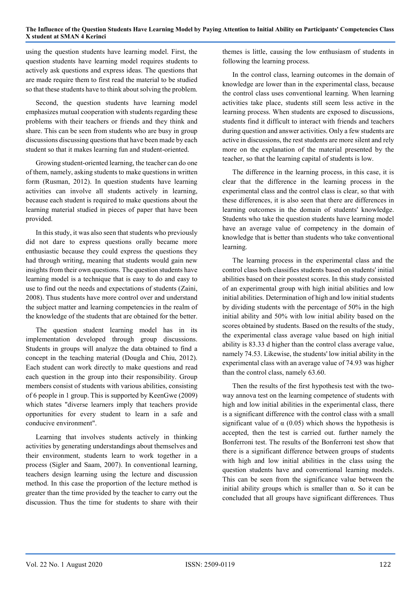using the question students have learning model. First, the question students have learning model requires students to actively ask questions and express ideas. The questions that are made require them to first read the material to be studied so that these students have to think about solving the problem.

Second, the question students have learning model emphasizes mutual cooperation with students regarding these problems with their teachers or friends and they think and share. This can be seen from students who are busy in group discussions discussing questions that have been made by each student so that it makes learning fun and student-oriented.

Growing student-oriented learning, the teacher can do one of them, namely, asking students to make questions in written form (Rusman, 2012). In question students have learning activities can involve all students actively in learning, because each student is required to make questions about the learning material studied in pieces of paper that have been provided.

In this study, it was also seen that students who previously did not dare to express questions orally became more enthusiastic because they could express the questions they had through writing, meaning that students would gain new insights from their own questions. The question students have learning model is a technique that is easy to do and easy to use to find out the needs and expectations of students (Zaini, 2008). Thus students have more control over and understand the subject matter and learning competencies in the realm of the knowledge of the students that are obtained for the better.

The question student learning model has in its implementation developed through group discussions. Students in groups will analyze the data obtained to find a concept in the teaching material (Dougla and Chiu, 2012). Each student can work directly to make questions and read each question in the group into their responsibility. Group members consist of students with various abilities, consisting of 6 people in 1 group. This is supported by KeenGwe (2009) which states "diverse learners imply that teachers provide opportunities for every student to learn in a safe and conducive environment".

Learning that involves students actively in thinking activities by generating understandings about themselves and their environment, students learn to work together in a process (Sigler and Saam, 2007). In conventional learning, teachers design learning using the lecture and discussion method. In this case the proportion of the lecture method is greater than the time provided by the teacher to carry out the discussion. Thus the time for students to share with their themes is little, causing the low enthusiasm of students in following the learning process.

In the control class, learning outcomes in the domain of knowledge are lower than in the experimental class, because the control class uses conventional learning. When learning activities take place, students still seem less active in the learning process. When students are exposed to discussions, students find it difficult to interact with friends and teachers during question and answer activities. Only a few students are active in discussions, the rest students are more silent and rely more on the explanation of the material presented by the teacher, so that the learning capital of students is low.

The difference in the learning process, in this case, it is clear that the difference in the learning process in the experimental class and the control class is clear, so that with these differences, it is also seen that there are differences in learning outcomes in the domain of students' knowledge. Students who take the question students have learning model have an average value of competency in the domain of knowledge that is better than students who take conventional learning.

The learning process in the experimental class and the control class both classifies students based on students' initial abilities based on their posstest scores. In this study consisted of an experimental group with high initial abilities and low initial abilities. Determination of high and low initial students by dividing students with the percentage of 50% in the high initial ability and 50% with low initial ability based on the scores obtained by students. Based on the results of the study, the experimental class average value based on high initial ability is 83.33 d higher than the control class average value, namely 74.53. Likewise, the students' low initial ability in the experimental class with an average value of 74.93 was higher than the control class, namely 63.60.

Then the results of the first hypothesis test with the twoway annova test on the learning competence of students with high and low initial abilities in the experimental class, there is a significant difference with the control class with a small significant value of  $\alpha$  (0.05) which shows the hypothesis is accepted, then the test is carried out. further namely the Bonferroni test. The results of the Bonferroni test show that there is a significant difference between groups of students with high and low initial abilities in the class using the question students have and conventional learning models. This can be seen from the significance value between the initial ability groups which is smaller than α. So it can be concluded that all groups have significant differences. Thus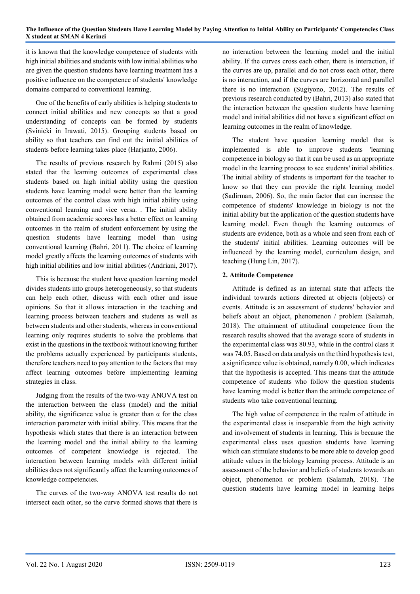it is known that the knowledge competence of students with high initial abilities and students with low initial abilities who are given the question students have learning treatment has a positive influence on the competence of students' knowledge domains compared to conventional learning.

One of the benefits of early abilities is helping students to connect initial abilities and new concepts so that a good understanding of concepts can be formed by students (Svinicki in Irawati, 2015). Grouping students based on ability so that teachers can find out the initial abilities of students before learning takes place (Harjanto, 2006).

The results of previous research by Rahmi (2015) also stated that the learning outcomes of experimental class students based on high initial ability using the question students have learning model were better than the learning outcomes of the control class with high initial ability using conventional learning and vice versa. . The initial ability obtained from academic scores has a better effect on learning outcomes in the realm of student enforcement by using the question students have learning model than using conventional learning (Bahri, 2011). The choice of learning model greatly affects the learning outcomes of students with high initial abilities and low initial abilities (Andriani, 2017).

This is because the student have question learning model divides students into groups heterogeneously, so that students can help each other, discuss with each other and issue opinions. So that it allows interaction in the teaching and learning process between teachers and students as well as between students and other students, whereas in conventional learning only requires students to solve the problems that exist in the questions in the textbook without knowing further the problems actually experienced by participants students, therefore teachers need to pay attention to the factors that may affect learning outcomes before implementing learning strategies in class.

Judging from the results of the two-way ANOVA test on the interaction between the class (model) and the initial ability, the significance value is greater than  $\alpha$  for the class interaction parameter with initial ability. This means that the hypothesis which states that there is an interaction between the learning model and the initial ability to the learning outcomes of competent knowledge is rejected. The interaction between learning models with different initial abilities does not significantly affect the learning outcomes of knowledge competencies.

The curves of the two-way ANOVA test results do not intersect each other, so the curve formed shows that there is

no interaction between the learning model and the initial ability. If the curves cross each other, there is interaction, if the curves are up, parallel and do not cross each other, there is no interaction, and if the curves are horizontal and parallel there is no interaction (Sugiyono, 2012). The results of previous research conducted by (Bahri, 2013) also stated that the interaction between the question students have learning model and initial abilities did not have a significant effect on learning outcomes in the realm of knowledge.

The student have question learning model that is implemented is able to improve students 'learning competence in biology so that it can be used as an appropriate model in the learning process to see students' initial abilities. The initial ability of students is important for the teacher to know so that they can provide the right learning model (Sadirman, 2006). So, the main factor that can increase the competence of students' knowledge in biology is not the initial ability but the application of the question students have learning model. Even though the learning outcomes of students are evidence, both as a whole and seen from each of the students' initial abilities. Learning outcomes will be influenced by the learning model, curriculum design, and teaching (Hung Lin, 2017).

## 2. Attitude Competence

Attitude is defined as an internal state that affects the individual towards actions directed at objects (objects) or events. Attitude is an assessment of students' behavior and beliefs about an object, phenomenon / problem (Salamah, 2018). The attainment of attitudinal competence from the research results showed that the average score of students in the experimental class was 80.93, while in the control class it was 74.05. Based on data analysis on the third hypothesis test, a significance value is obtained, namely 0.00, which indicates that the hypothesis is accepted. This means that the attitude competence of students who follow the question students have learning model is better than the attitude competence of students who take conventional learning.

The high value of competence in the realm of attitude in the experimental class is inseparable from the high activity and involvement of students in learning. This is because the experimental class uses question students have learning which can stimulate students to be more able to develop good attitude values in the biology learning process. Attitude is an assessment of the behavior and beliefs of students towards an object, phenomenon or problem (Salamah, 2018). The question students have learning model in learning helps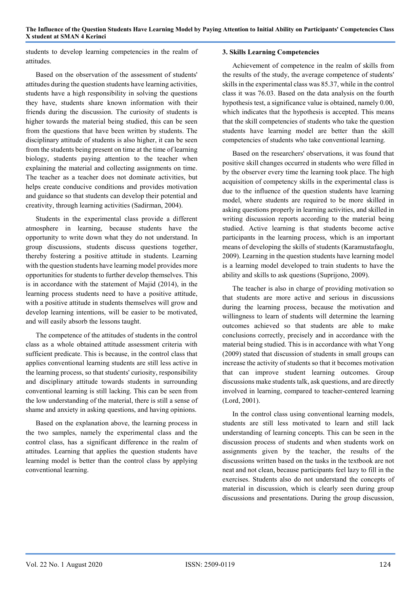students to develop learning competencies in the realm of attitudes.

Based on the observation of the assessment of students' attitudes during the question students have learning activities, students have a high responsibility in solving the questions they have, students share known information with their friends during the discussion. The curiosity of students is higher towards the material being studied, this can be seen from the questions that have been written by students. The disciplinary attitude of students is also higher, it can be seen from the students being present on time at the time of learning biology, students paying attention to the teacher when explaining the material and collecting assignments on time. The teacher as a teacher does not dominate activities, but helps create conducive conditions and provides motivation and guidance so that students can develop their potential and creativity, through learning activities (Sadirman, 2004).

Students in the experimental class provide a different atmosphere in learning, because students have the opportunity to write down what they do not understand. In group discussions, students discuss questions together, thereby fostering a positive attitude in students. Learning with the question students have learning model provides more opportunities for students to further develop themselves. This is in accordance with the statement of Majid (2014), in the learning process students need to have a positive attitude, with a positive attitude in students themselves will grow and develop learning intentions, will be easier to be motivated, and will easily absorb the lessons taught.

The competence of the attitudes of students in the control class as a whole obtained attitude assessment criteria with sufficient predicate. This is because, in the control class that applies conventional learning students are still less active in the learning process, so that students' curiosity, responsibility and disciplinary attitude towards students in surrounding conventional learning is still lacking. This can be seen from the low understanding of the material, there is still a sense of shame and anxiety in asking questions, and having opinions.

Based on the explanation above, the learning process in the two samples, namely the experimental class and the control class, has a significant difference in the realm of attitudes. Learning that applies the question students have learning model is better than the control class by applying conventional learning.

## 3. Skills Learning Competencies

Achievement of competence in the realm of skills from the results of the study, the average competence of students' skills in the experimental class was 85.37, while in the control class it was 76.03. Based on the data analysis on the fourth hypothesis test, a significance value is obtained, namely 0.00, which indicates that the hypothesis is accepted. This means that the skill competencies of students who take the question students have learning model are better than the skill competencies of students who take conventional learning.

Based on the researchers' observations, it was found that positive skill changes occurred in students who were filled in by the observer every time the learning took place. The high acquisition of competency skills in the experimental class is due to the influence of the question students have learning model, where students are required to be more skilled in asking questions properly in learning activities, and skilled in writing discussion reports according to the material being studied. Active learning is that students become active participants in the learning process, which is an important means of developing the skills of students (Karamustafaoglu, 2009). Learning in the question students have learning model is a learning model developed to train students to have the ability and skills to ask questions (Suprijono, 2009).

The teacher is also in charge of providing motivation so that students are more active and serious in discussions during the learning process, because the motivation and willingness to learn of students will determine the learning outcomes achieved so that students are able to make conclusions correctly, precisely and in accordance with the material being studied. This is in accordance with what Yong (2009) stated that discussion of students in small groups can increase the activity of students so that it becomes motivation that can improve student learning outcomes. Group discussions make students talk, ask questions, and are directly involved in learning, compared to teacher-centered learning (Lord, 2001).

In the control class using conventional learning models, students are still less motivated to learn and still lack understanding of learning concepts. This can be seen in the discussion process of students and when students work on assignments given by the teacher, the results of the discussions written based on the tasks in the textbook are not neat and not clean, because participants feel lazy to fill in the exercises. Students also do not understand the concepts of material in discussion, which is clearly seen during group discussions and presentations. During the group discussion,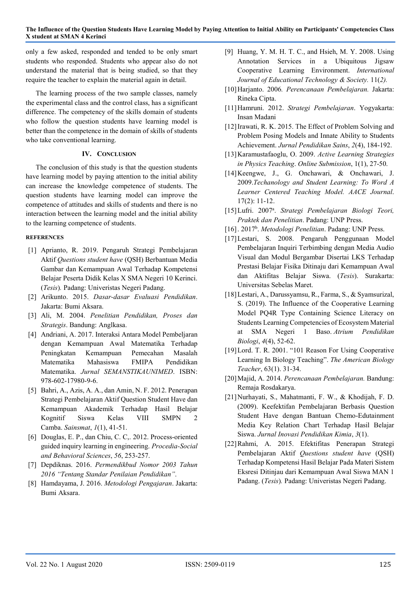only a few asked, responded and tended to be only smart students who responded. Students who appear also do not understand the material that is being studied, so that they require the teacher to explain the material again in detail.

The learning process of the two sample classes, namely the experimental class and the control class, has a significant difference. The competency of the skills domain of students who follow the question students have learning model is better than the competence in the domain of skills of students who take conventional learning.

## IV. CONCLUSION

The conclusion of this study is that the question students have learning model by paying attention to the initial ability can increase the knowledge competence of students. The question students have learning model can improve the competence of attitudes and skills of students and there is no interaction between the learning model and the initial ability to the learning competence of students.

## **REFERENCES**

- [1] Aprianto, R. 2019. Pengaruh Strategi Pembelajaran Aktif Questions student have (QSH) Berbantuan Media Gambar dan Kemampuan Awal Terhadap Kompetensi Belajar Peserta Didik Kelas X SMA Negeri 10 Kerinci. (Tesis). Padang: Univeristas Negeri Padang.
- [2] Arikunto. 2015. Dasar-dasar Evaluasi Pendidikan. Jakarta: Bumi Aksara.
- [3] Ali, M. 2004. Penelitian Pendidikan, Proses dan Strategis. Bandung: Anglkasa.
- [4] Andriani, A. 2017. Interaksi Antara Model Pembeljaran dengan Kemampuan Awal Matematika Terhadap Peningkatan Kemampuan Pemecahan Masalah Matematika Mahasiswa FMIPA Pendidikan Matematika. Jurnal SEMANSTIKAUNIMED. ISBN: 978-602-17980-9-6.
- [5] Bahri, A., Azis, A. A., dan Amin, N. F. 2012. Penerapan Strategi Pembelajaran Aktif Question Student Have dan Kemampuan Akademik Terhadap Hasil Belajar Kognitif Siswa Kelas VIII SMPN 2 Camba. Sainsmat, 1(1), 41-51.
- [6] Douglas, E. P., dan Chiu, C. C,. 2012. Process-oriented guided inquiry learning in engineering. Procedia-Social and Behavioral Sciences, 56, 253-257.
- [7] Depdiknas. 2016. Permendikbud Nomor 2003 Tahun 2016 "Tentang Standar Penilaian Pendidikan".
- [8] Hamdayama, J. 2016. Metodologi Pengajaran. Jakarta: Bumi Aksara.
- [9] Huang, Y. M. H. T. C., and Hsieh, M. Y. 2008. Using Annotation Services in a Ubiquitous Jigsaw Cooperative Learning Environment. International Journal of Educational Technology & Society. 11(2).
- [10]Harjanto. 2006. Perencanaan Pembelajaran. Jakarta: Rineka Cipta.
- [11]Hamruni. 2012. Strategi Pembelajaran. Yogyakarta: Insan Madani
- [12] Irawati, R. K. 2015. The Effect of Problem Solving and Problem Posing Models and Innate Ability to Students Achievement. Jurnal Pendidikan Sains, 2(4), 184-192.
- [13]Karamustafaoglu, O. 2009. Active Learning Strategies in Physics Teaching. Online Submission, 1(1), 27-50.
- [14]Keengwe, J., G. Onchawari, & Onchawari, J. 2009.Techanology and Student Learning: To Word A Learner Centered Teaching Model. AACE Journal. 17(2): 11-12.
- [15] Lufri. 2007<sup>a</sup>. Strategi Pembelajaran Biologi Teori, Praktek dan Penelitian. Padang: UNP Press.
- [16]. 2017<sup>b</sup>. Metodologi Penelitian. Padang: UNP Press.
- [17]Lestari, S. 2008. Pengaruh Penggunaan Model Pembelajaran Inquiri Terbimbing dengan Media Audio Visual dan Modul Bergambar Disertai LKS Terhadap Prestasi Belajar Fisika Ditinaju dari Kemampuan Awal dan Aktifitas Belajar Siswa. (Tesis). Surakarta: Universitas Sebelas Maret.
- [18]Lestari, A., Darussyamsu, R., Farma, S., & Syamsurizal, S. (2019). The Influence of the Cooperative Learning Model PQ4R Type Containing Science Literacy on Students Learning Competencies of Ecosystem Material at SMA Negeri 1 Baso. Atrium Pendidikan Biologi, 4(4), 52-62.
- [19]Lord. T. R. 2001. "101 Reason For Using Cooperative Learning In Biology Teaching". The American Biology Teacher, 63(1). 31-34.
- [20]Majid, A. 2014. Perencanaan Pembelajaran. Bandung: Remaja Rosdakarya.
- [21]Nurhayati, S., Mahatmanti, F. W., & Khodijah, F. D. (2009). Keefektifan Pembelajaran Berbasis Question Student Have dengan Bantuan Chemo-Edutainment Media Key Relation Chart Terhadap Hasil Belajar Siswa. Jurnal Inovasi Pendidikan Kimia, 3(1).
- [22]Rahmi, A. 2015. Efektifitas Penerapan Strategi Pembelajaran Aktif Questions student have (QSH) Terhadap Kompetensi Hasil Belajar Pada Materi Sistem Eksresi Ditinjau dari Kemampuan Awal Siswa MAN 1 Padang. (Tesis). Padang: Univeristas Negeri Padang.